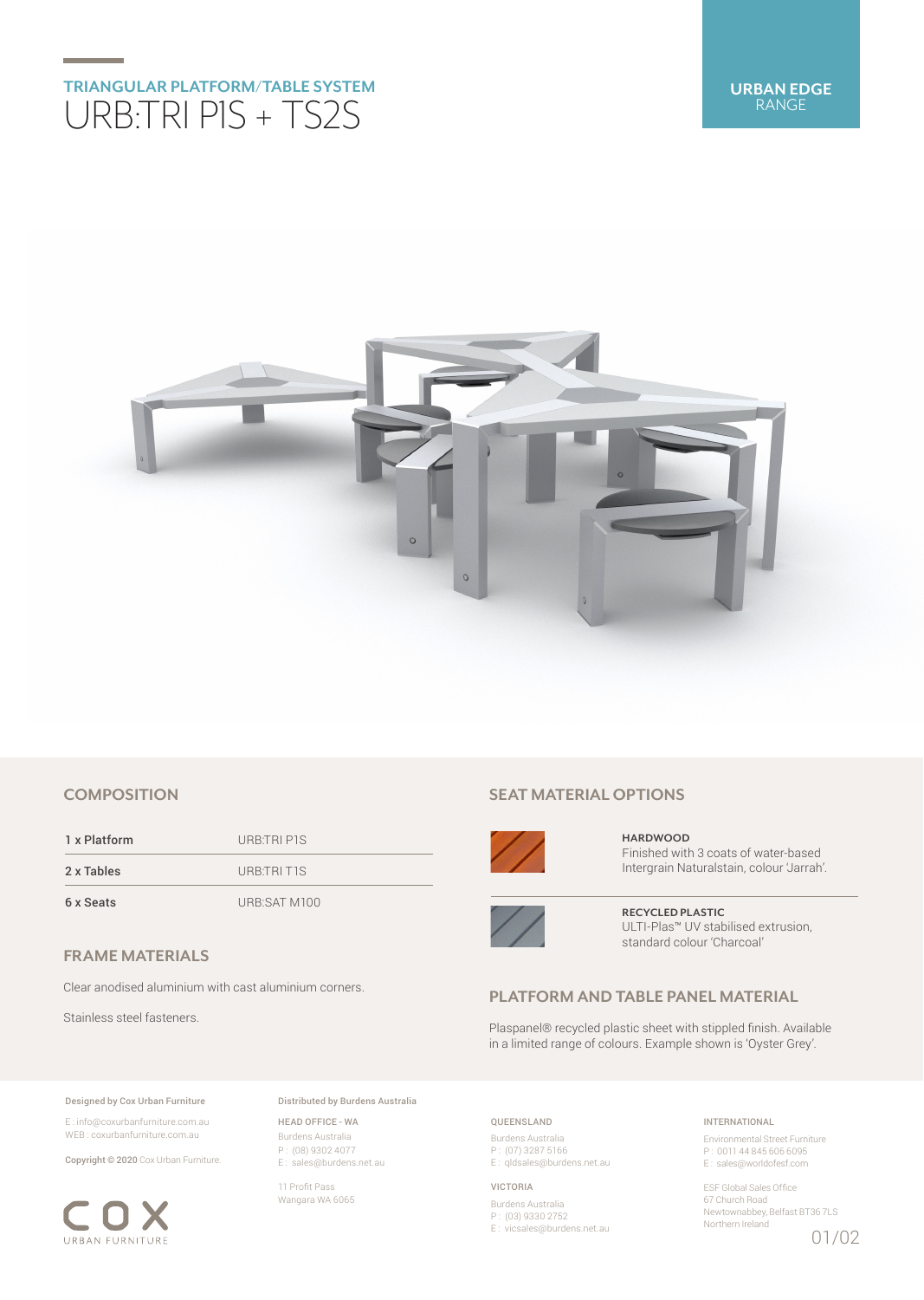# **TRIANGULAR PLATFORM/TABLE SYSTEM** URB:TRI P1S + TS2S



# **COMPOSITION**

1 x Platform URB:TRI P1S 2 x Tables URB:TRI T1S 6 x Seats URB:SAT M100

**FRAME MATERIALS**

Clear anodised aluminium with cast aluminium corners.

Stainless steel fasteners.

### Designed by Cox Urban Furniture

E : info@coxurbanfurniture.com.au WEB : coxurbanfurniture.com.au

Copyright © 2020 Cox Urban Furniture.



Distributed by Burdens Australia

HEAD OFFICE - WA Burdens Australia P : (08) 9302 4077 E : sales@burdens.net.au

11 Profit Pass Wangara WA 6065

## **SEAT MATERIAL OPTIONS**



**HARDWOOD** Finished with 3 coats of water-based Intergrain Naturalstain, colour 'Jarrah'.



**RECYCLED PLASTIC** ULTI-Plas™ UV stabilised extrusion, standard colour 'Charcoal'

## **PLATFORM AND TABLE PANEL MATERIAL**

Plaspanel® recycled plastic sheet with stippled finish. Available in a limited range of colours. Example shown is 'Oyster Grey'.

### QUEENSLAND

Burdens Australia P : (07) 3287 5166 E : qldsales@burdens.net.au

#### VICTORIA

Burdens Australia P : (03) 9330 2752 E : vicsales@burdens.net.au

### INTERNATIONAL

Environmental Street Furniture P : 0011 44 845 606 6095 E : sales@worldofesf.com

ESF Global Sales Office 67 Church Road Newtownabbey, Belfast BT36 7LS Northern Ireland 01/02